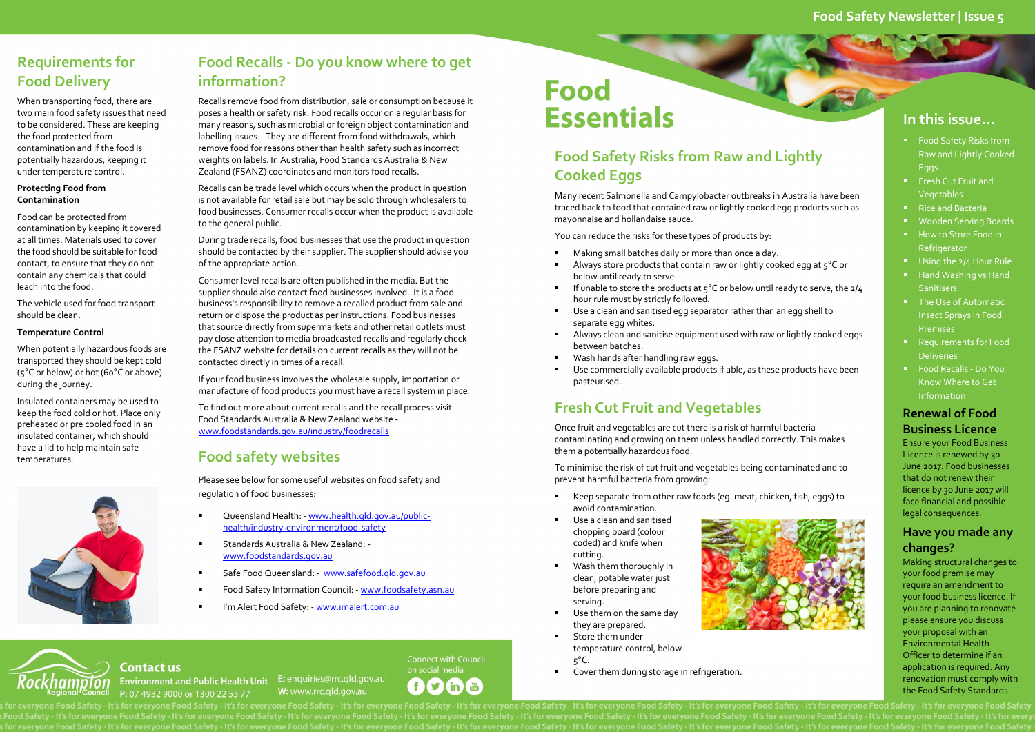### **Food Safety Newsletter | Issue 5**

### **In this issue…**

- **Food Safety Risks from** Raw and Lightly Cooked Eggs
- **FILM** Fresh Cut Fruit and Vegetables
- Rice and Bacteria
- Wooden Serving Boards
- How to Store Food in Refrigerator
- Using the 2/4 Hour Rule
- Hand Washing vs Hand **Sanitisers**
- The Use of Automatic Insect Sprays in Food Premises
- Requirements for Food **Deliveries**
- Food Recalls Do You Know Where to Get Information

#### **Renewal of Food Business Licence**

Ensure your Food Business Licence is renewed by 30 June 2017. Food businesses that do not renew their licence by 30 June 2017 will face financial and possible legal consequences.

#### **Have you made any changes?**

Making structural changes to your food premise may require an amendment to your food business licence. If you are planning to renovate please ensure you discuss your proposal with an Environmental Health Officer to determine if an application is required. Any renovation must comply with the Food Safety Standards.

### **Food Safety Risks from Raw and Lightly Cooked Eggs**

- Keep separate from other raw foods (eg. meat, chicken, fish, eggs) to avoid contamination.
- Use a clean and sanitised chopping board (colour coded) and knife when cutting.
- Wash them thoroughly in clean, potable water just before preparing and serving.
- Use them on the same day they are prepared.
- Store them under temperature control, below  $5^{\circ}$ C.
- **Cover them during storage in refrigeration.**

**Connect with Council** on social media  $\mathbf{E}$  $\mathbf{f}$ in (You



Many recent Salmonella and Campylobacter outbreaks in Australia have been traced back to food that contained raw or lightly cooked egg products such as mayonnaise and hollandaise sauce.

You can reduce the risks for these types of products by:

- Making small batches daily or more than once a day.
- Always store products that contain raw or lightly cooked egg at 5°C or below until ready to serve.
- If unable to store the products at  $5^{\circ}$ C or below until ready to serve, the  $2/4$ hour rule must by strictly followed.
- Use a clean and sanitised egg separator rather than an egg shell to separate egg whites.
- Always clean and sanitise equipment used with raw or lightly cooked eggs between batches.
- Wash hands after handling raw eggs.
- Use commercially available products if able, as these products have been pasteurised.

### **Fresh Cut Fruit and Vegetables**

Once fruit and vegetables are cut there is a risk of harmful bacteria contaminating and growing on them unless handled correctly. This makes them a potentially hazardous food.

To minimise the risk of cut fruit and vegetables being contaminated and to prevent harmful bacteria from growing:

### **Requirements for Food Delivery**

When transporting food, there are two main food safety issues that need to be considered. These are keeping the food protected from contamination and if the food is potentially hazardous, keeping it under temperature control.

#### **Protecting Food from Contamination**

Food can be protected from contamination by keeping it covered at all times. Materials used to cover the food should be suitable for food contact, to ensure that they do not contain any chemicals that could leach into the food.

The vehicle used for food transport should be clean.

#### **Temperature Control**

When potentially hazardous foods are transported they should be kept cold (5°C or below) or hot (60°C or above) during the journey.

Insulated containers may be used to keep the food cold or hot. Place only preheated or pre cooled food in an insulated container, which should have a lid to help maintain safe temperatures.



Kockhampion

**Contact us** 

P: 07 4932 9000 or 1300 22 55 77

### **Food Recalls - Do you know where to get information?**

Recalls remove food from distribution, sale or consumption because it poses a health or safety risk. Food recalls occur on a regular basis for many reasons, such as microbial or foreign object contamination and labelling issues. They are different from food withdrawals, which remove food for reasons other than health safety such as incorrect weights on labels. In Australia, Food Standards Australia & New Zealand (FSANZ) coordinates and monitors food recalls.

Recalls can be trade level which occurs when the product in question is not available for retail sale but may be sold through wholesalers to food businesses. Consumer recalls occur when the product is available to the general public.

During trade recalls, food businesses that use the product in question should be contacted by their supplier. The supplier should advise you of the appropriate action.

Consumer level recalls are often published in the media. But the supplier should also contact food businesses involved. It is a food business's responsibility to remove a recalled product from sale and return or dispose the product as per instructions. Food businesses that source directly from supermarkets and other retail outlets must pay close attention to media broadcasted recalls and regularly check the FSANZ website for details on current recalls as they will not be contacted directly in times of a recall.

If your food business involves the wholesale supply, importation or manufacture of food products you must have a recall system in place.

To find out more about current recalls and the recall process visit Food Standards Australia & New Zealand website [www.foodstandards.gov.au/industry/foodrecalls](http://www.foodstandards.gov.au/industry/foodrecalls/Pages/default.aspx)

### **Food safety websites**

Please see below for some useful websites on food safety and regulation of food businesses:

- Queensland Health: [www.health.qld.gov.au/public](www.health.qld.gov.au/public-health/industry-environment/food-safety)[health/industry-environment/food-safety](www.health.qld.gov.au/public-health/industry-environment/food-safety)
- Standards Australia & New Zealand: [www.foodstandards.gov.au](http://www.foodstandards.gov.au/)

Environment and Public Health Unit E: enquiries@rrc.qld.gov.au

- Safe Food Queensland: - [www.safefood.qld.gov.au](http://www.safefood.qld.gov.au/)
- Food Safety Information Council: [www.foodsafety.asn.au](http://www.foodsafety.asn.au/)

W: www.rrc.gld.gov.au

I'm Alert Food Safety: - [www.imalert.com.au](http://www.imalert.com.au/)

# **Food Essentials**